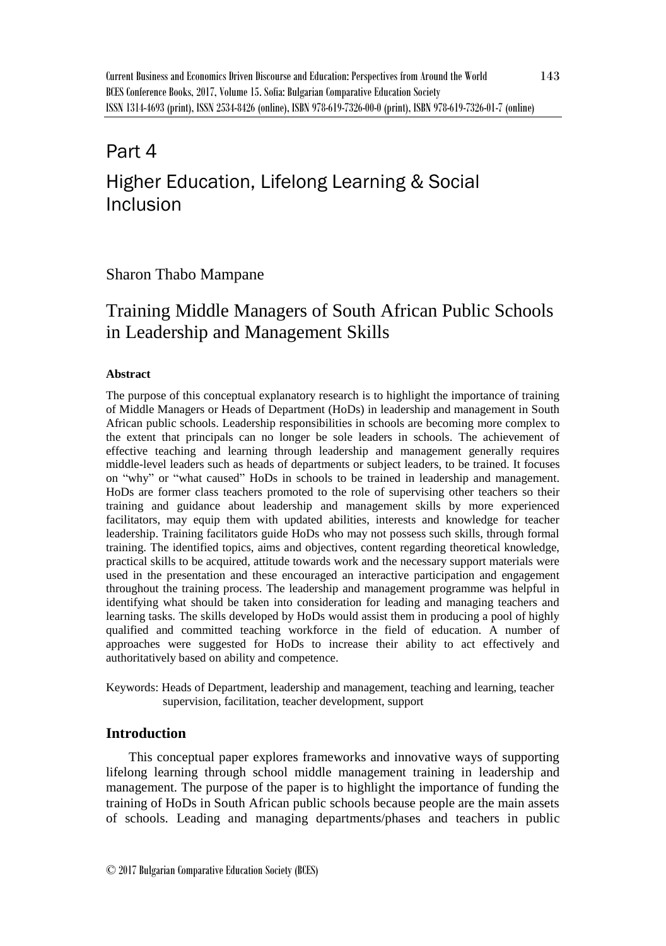# Part 4 Higher Education, Lifelong Learning & Social Inclusion

### Sharon Thabo Mampane

## Training Middle Managers of South African Public Schools in Leadership and Management Skills

#### **Abstract**

The purpose of this conceptual explanatory research is to highlight the importance of training of Middle Managers or Heads of Department (HoDs) in leadership and management in South African public schools. Leadership responsibilities in schools are becoming more complex to the extent that principals can no longer be sole leaders in schools. The achievement of effective teaching and learning through leadership and management generally requires middle-level leaders such as heads of departments or subject leaders, to be trained. It focuses on "why" or "what caused" HoDs in schools to be trained in leadership and management. HoDs are former class teachers promoted to the role of supervising other teachers so their training and guidance about leadership and management skills by more experienced facilitators, may equip them with updated abilities, interests and knowledge for teacher leadership. Training facilitators guide HoDs who may not possess such skills, through formal training. The identified topics, aims and objectives, content regarding theoretical knowledge, practical skills to be acquired, attitude towards work and the necessary support materials were used in the presentation and these encouraged an interactive participation and engagement throughout the training process. The leadership and management programme was helpful in identifying what should be taken into consideration for leading and managing teachers and learning tasks. The skills developed by HoDs would assist them in producing a pool of highly qualified and committed teaching workforce in the field of education. A number of approaches were suggested for HoDs to increase their ability to act effectively and authoritatively based on ability and competence.

Keywords: Heads of Department, leadership and management, teaching and learning, teacher supervision, facilitation, teacher development, support

#### **Introduction**

This conceptual paper explores frameworks and innovative ways of supporting lifelong learning through school middle management training in leadership and management. The purpose of the paper is to highlight the importance of funding the training of HoDs in South African public schools because people are the main assets of schools. Leading and managing departments/phases and teachers in public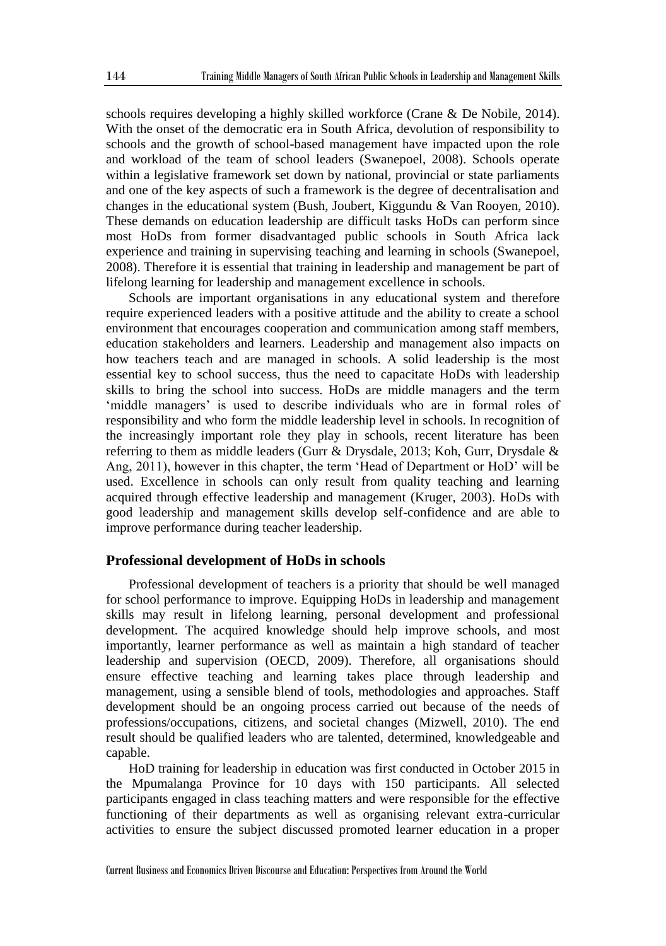schools requires developing a highly skilled workforce (Crane & De Nobile, 2014). With the onset of the democratic era in South Africa, devolution of responsibility to schools and the growth of school-based management have impacted upon the role and workload of the team of school leaders (Swanepoel, 2008). Schools operate within a legislative framework set down by national, provincial or state parliaments and one of the key aspects of such a framework is the degree of decentralisation and changes in the educational system (Bush, Joubert, Kiggundu & Van Rooyen, 2010). These demands on education leadership are difficult tasks HoDs can perform since most HoDs from former disadvantaged public schools in South Africa lack experience and training in supervising teaching and learning in schools (Swanepoel, 2008). Therefore it is essential that training in leadership and management be part of lifelong learning for leadership and management excellence in schools.

Schools are important organisations in any educational system and therefore require experienced leaders with a positive attitude and the ability to create a school environment that encourages cooperation and communication among staff members, education stakeholders and learners. Leadership and management also impacts on how teachers teach and are managed in schools. A solid leadership is the most essential key to school success, thus the need to capacitate HoDs with leadership skills to bring the school into success. HoDs are middle managers and the term 'middle managers' is used to describe individuals who are in formal roles of responsibility and who form the middle leadership level in schools. In recognition of the increasingly important role they play in schools, recent literature has been referring to them as middle leaders (Gurr & Drysdale, 2013; Koh, Gurr, Drysdale & Ang, 2011), however in this chapter, the term 'Head of Department or HoD' will be used. Excellence in schools can only result from quality teaching and learning acquired through effective leadership and management (Kruger, 2003). HoDs with good leadership and management skills develop self-confidence and are able to improve performance during teacher leadership.

#### **Professional development of HoDs in schools**

Professional development of teachers is a priority that should be well managed for school performance to improve. Equipping HoDs in leadership and management skills may result in lifelong learning, personal development and professional development. The acquired knowledge should help improve schools, and most importantly, learner performance as well as maintain a high standard of teacher leadership and supervision (OECD, 2009). Therefore, all organisations should ensure effective teaching and learning takes place through leadership and management, using a sensible blend of tools, methodologies and approaches. Staff development should be an ongoing process carried out because of the needs of professions/occupations, citizens, and societal changes (Mizwell, 2010). The end result should be qualified leaders who are talented, determined, knowledgeable and capable.

HoD training for leadership in education was first conducted in October 2015 in the Mpumalanga Province for 10 days with 150 participants. All selected participants engaged in class teaching matters and were responsible for the effective functioning of their departments as well as organising relevant extra-curricular activities to ensure the subject discussed promoted learner education in a proper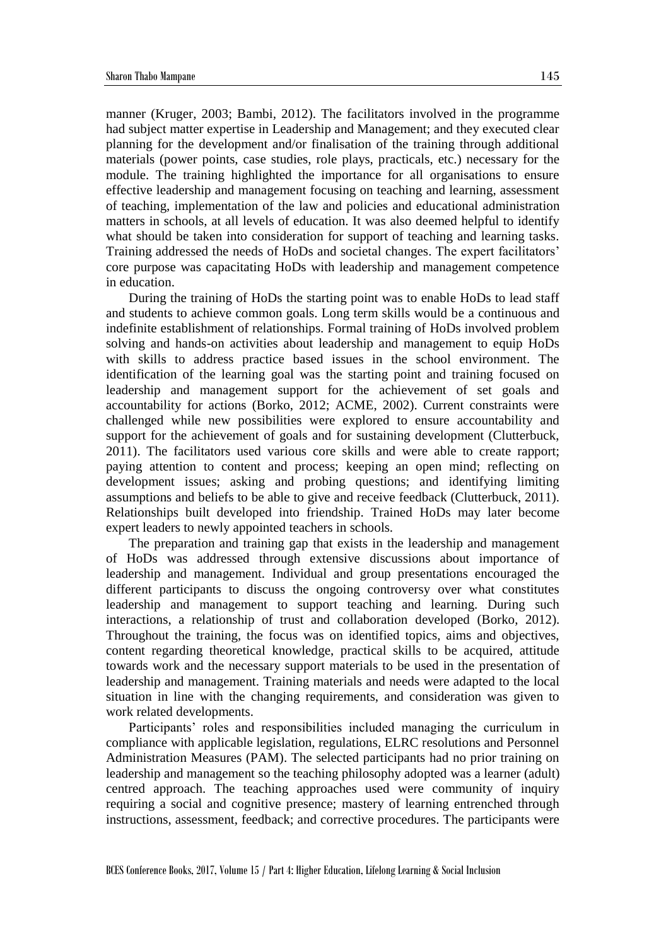manner (Kruger, 2003; Bambi, 2012). The facilitators involved in the programme had subject matter expertise in Leadership and Management; and they executed clear planning for the development and/or finalisation of the training through additional materials (power points, case studies, role plays, practicals, etc.) necessary for the module. The training highlighted the importance for all organisations to ensure effective leadership and management focusing on teaching and learning, assessment of teaching, implementation of the law and policies and educational administration matters in schools, at all levels of education. It was also deemed helpful to identify what should be taken into consideration for support of teaching and learning tasks. Training addressed the needs of HoDs and societal changes. The expert facilitators' core purpose was capacitating HoDs with leadership and management competence in education.

During the training of HoDs the starting point was to enable HoDs to lead staff and students to achieve common goals. Long term skills would be a continuous and indefinite establishment of relationships. Formal training of HoDs involved problem solving and hands-on activities about leadership and management to equip HoDs with skills to address practice based issues in the school environment. The identification of the learning goal was the starting point and training focused on leadership and management support for the achievement of set goals and accountability for actions (Borko, 2012; ACME, 2002). Current constraints were challenged while new possibilities were explored to ensure accountability and support for the achievement of goals and for sustaining development (Clutterbuck, 2011). The facilitators used various core skills and were able to create rapport; paying attention to content and process; keeping an open mind; reflecting on development issues; asking and probing questions; and identifying limiting assumptions and beliefs to be able to give and receive feedback (Clutterbuck, 2011). Relationships built developed into friendship. Trained HoDs may later become expert leaders to newly appointed teachers in schools.

The preparation and training gap that exists in the leadership and management of HoDs was addressed through extensive discussions about importance of leadership and management. Individual and group presentations encouraged the different participants to discuss the ongoing controversy over what constitutes leadership and management to support teaching and learning. During such interactions, a relationship of trust and collaboration developed (Borko, 2012). Throughout the training, the focus was on identified topics, aims and objectives, content regarding theoretical knowledge, practical skills to be acquired, attitude towards work and the necessary support materials to be used in the presentation of leadership and management. Training materials and needs were adapted to the local situation in line with the changing requirements, and consideration was given to work related developments.

Participants' roles and responsibilities included managing the curriculum in compliance with applicable legislation, regulations, ELRC resolutions and Personnel Administration Measures (PAM). The selected participants had no prior training on leadership and management so the teaching philosophy adopted was a learner (adult) centred approach. The teaching approaches used were community of inquiry requiring a social and cognitive presence; mastery of learning entrenched through instructions, assessment, feedback; and corrective procedures. The participants were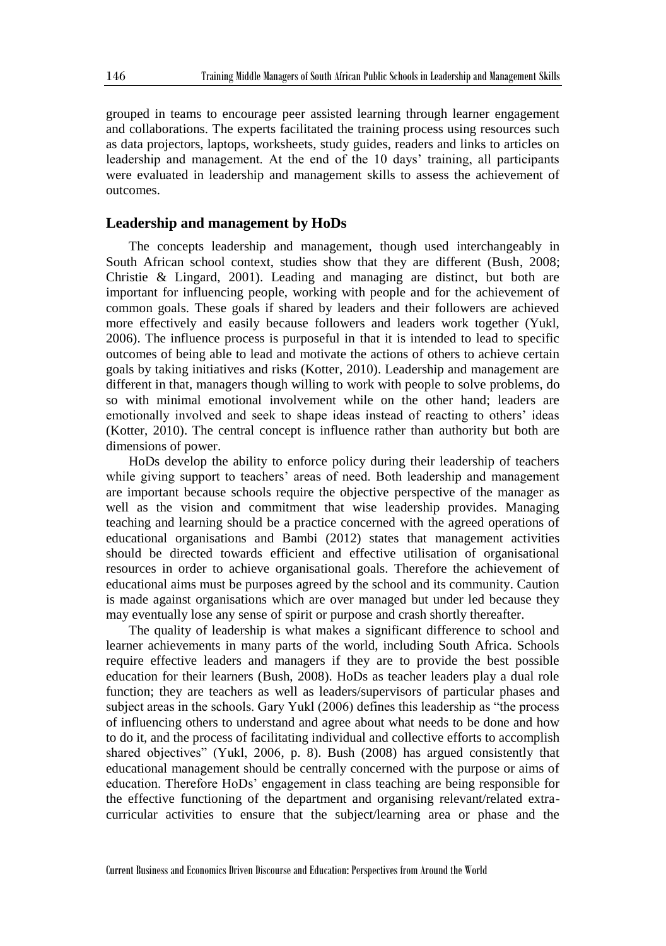grouped in teams to encourage peer assisted learning through learner engagement and collaborations. The experts facilitated the training process using resources such as data projectors, laptops, worksheets, study guides, readers and links to articles on leadership and management. At the end of the 10 days' training, all participants were evaluated in leadership and management skills to assess the achievement of outcomes.

#### **Leadership and management by HoDs**

The concepts leadership and management, though used interchangeably in South African school context, studies show that they are different (Bush, 2008; Christie & Lingard, 2001). Leading and managing are distinct, but both are important for influencing people, working with people and for the achievement of common goals. These goals if shared by leaders and their followers are achieved more effectively and easily because followers and leaders work together (Yukl, 2006). The influence process is purposeful in that it is intended to lead to specific outcomes of being able to lead and motivate the actions of others to achieve certain goals by taking initiatives and risks (Kotter, 2010). Leadership and management are different in that, managers though willing to work with people to solve problems, do so with minimal emotional involvement while on the other hand; leaders are emotionally involved and seek to shape ideas instead of reacting to others' ideas (Kotter, 2010). The central concept is influence rather than authority but both are dimensions of power.

HoDs develop the ability to enforce policy during their leadership of teachers while giving support to teachers' areas of need. Both leadership and management are important because schools require the objective perspective of the manager as well as the vision and commitment that wise leadership provides. Managing teaching and learning should be a practice concerned with the agreed operations of educational organisations and Bambi (2012) states that management activities should be directed towards efficient and effective utilisation of organisational resources in order to achieve organisational goals. Therefore the achievement of educational aims must be purposes agreed by the school and its community. Caution is made against organisations which are over managed but under led because they may eventually lose any sense of spirit or purpose and crash shortly thereafter.

The quality of leadership is what makes a significant difference to school and learner achievements in many parts of the world, including South Africa. Schools require effective leaders and managers if they are to provide the best possible education for their learners (Bush, 2008). HoDs as teacher leaders play a dual role function; they are teachers as well as leaders/supervisors of particular phases and subject areas in the schools. Gary Yukl (2006) defines this leadership as "the process of influencing others to understand and agree about what needs to be done and how to do it, and the process of facilitating individual and collective efforts to accomplish shared objectives" (Yukl, 2006, p. 8). Bush (2008) has argued consistently that educational management should be centrally concerned with the purpose or aims of education. Therefore HoDs' engagement in class teaching are being responsible for the effective functioning of the department and organising relevant/related extracurricular activities to ensure that the subject/learning area or phase and the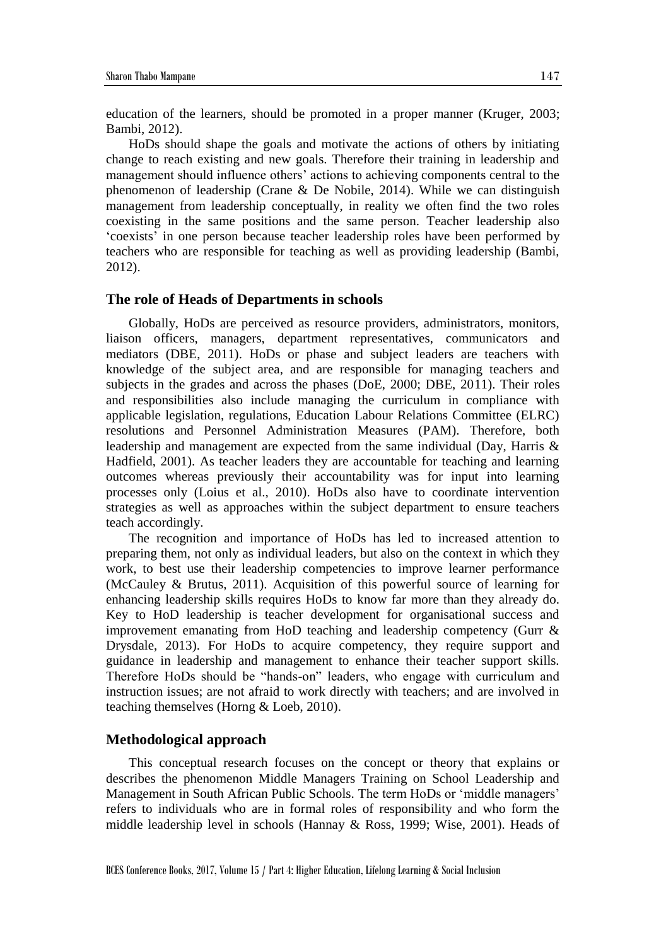education of the learners, should be promoted in a proper manner (Kruger, 2003; Bambi, 2012).

HoDs should shape the goals and motivate the actions of others by initiating change to reach existing and new goals. Therefore their training in leadership and management should influence others' actions to achieving components central to the phenomenon of leadership (Crane & De Nobile, 2014). While we can distinguish management from leadership conceptually, in reality we often find the two roles coexisting in the same positions and the same person. Teacher leadership also 'coexists' in one person because teacher leadership roles have been performed by teachers who are responsible for teaching as well as providing leadership (Bambi, 2012).

#### **The role of Heads of Departments in schools**

Globally, HoDs are perceived as resource providers, administrators, monitors, liaison officers, managers, department representatives, communicators and mediators (DBE, 2011). HoDs or phase and subject leaders are teachers with knowledge of the subject area, and are responsible for managing teachers and subjects in the grades and across the phases (DoE, 2000; DBE, 2011). Their roles and responsibilities also include managing the curriculum in compliance with applicable legislation, regulations, Education Labour Relations Committee (ELRC) resolutions and Personnel Administration Measures (PAM). Therefore, both leadership and management are expected from the same individual (Day, Harris & Hadfield, 2001). As teacher leaders they are accountable for teaching and learning outcomes whereas previously their accountability was for input into learning processes only (Loius et al., 2010). HoDs also have to coordinate intervention strategies as well as approaches within the subject department to ensure teachers teach accordingly.

The recognition and importance of HoDs has led to increased attention to preparing them, not only as individual leaders, but also on the context in which they work, to best use their leadership competencies to improve learner performance (McCauley & Brutus, 2011). Acquisition of this powerful source of learning for enhancing leadership skills requires HoDs to know far more than they already do. Key to HoD leadership is teacher development for organisational success and improvement emanating from HoD teaching and leadership competency (Gurr & Drysdale, 2013). For HoDs to acquire competency, they require support and guidance in leadership and management to enhance their teacher support skills. Therefore HoDs should be "hands-on" leaders, who engage with curriculum and instruction issues; are not afraid to work directly with teachers; and are involved in teaching themselves (Horng & Loeb, 2010).

#### **Methodological approach**

This conceptual research focuses on the concept or theory that explains or describes the phenomenon Middle Managers Training on School Leadership and Management in South African Public Schools. The term HoDs or 'middle managers' refers to individuals who are in formal roles of responsibility and who form the middle leadership level in schools (Hannay & Ross, 1999; Wise, 2001). Heads of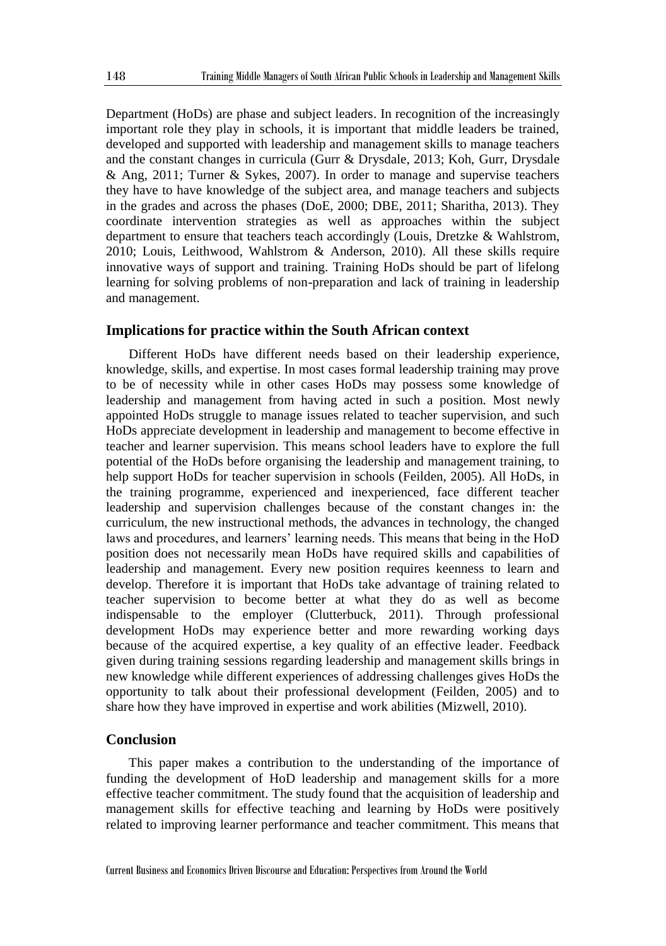Department (HoDs) are phase and subject leaders. In recognition of the increasingly important role they play in schools, it is important that middle leaders be trained, developed and supported with leadership and management skills to manage teachers and the constant changes in curricula (Gurr & Drysdale, 2013; Koh, Gurr, Drysdale & Ang, 2011; Turner & Sykes, 2007). In order to manage and supervise teachers they have to have knowledge of the subject area, and manage teachers and subjects in the grades and across the phases (DoE, 2000; DBE, 2011; Sharitha, 2013). They coordinate intervention strategies as well as approaches within the subject department to ensure that teachers teach accordingly (Louis, Dretzke & Wahlstrom, 2010; Louis, Leithwood, Wahlstrom & Anderson, 2010). All these skills require innovative ways of support and training. Training HoDs should be part of lifelong learning for solving problems of non-preparation and lack of training in leadership and management.

#### **Implications for practice within the South African context**

Different HoDs have different needs based on their leadership experience, knowledge, skills, and expertise. In most cases formal leadership training may prove to be of necessity while in other cases HoDs may possess some knowledge of leadership and management from having acted in such a position. Most newly appointed HoDs struggle to manage issues related to teacher supervision, and such HoDs appreciate development in leadership and management to become effective in teacher and learner supervision. This means school leaders have to explore the full potential of the HoDs before organising the leadership and management training, to help support HoDs for teacher supervision in schools (Feilden, 2005). All HoDs, in the training programme, experienced and inexperienced, face different teacher leadership and supervision challenges because of the constant changes in: the curriculum, the new instructional methods, the advances in technology, the changed laws and procedures, and learners' learning needs. This means that being in the HoD position does not necessarily mean HoDs have required skills and capabilities of leadership and management. Every new position requires keenness to learn and develop. Therefore it is important that HoDs take advantage of training related to teacher supervision to become better at what they do as well as become indispensable to the employer (Clutterbuck, 2011). Through professional development HoDs may experience better and more rewarding working days because of the acquired expertise, a key quality of an effective leader. Feedback given during training sessions regarding leadership and management skills brings in new knowledge while different experiences of addressing challenges gives HoDs the opportunity to talk about their professional development (Feilden, 2005) and to share how they have improved in expertise and work abilities (Mizwell, 2010).

#### **Conclusion**

This paper makes a contribution to the understanding of the importance of funding the development of HoD leadership and management skills for a more effective teacher commitment. The study found that the acquisition of leadership and management skills for effective teaching and learning by HoDs were positively related to improving learner performance and teacher commitment. This means that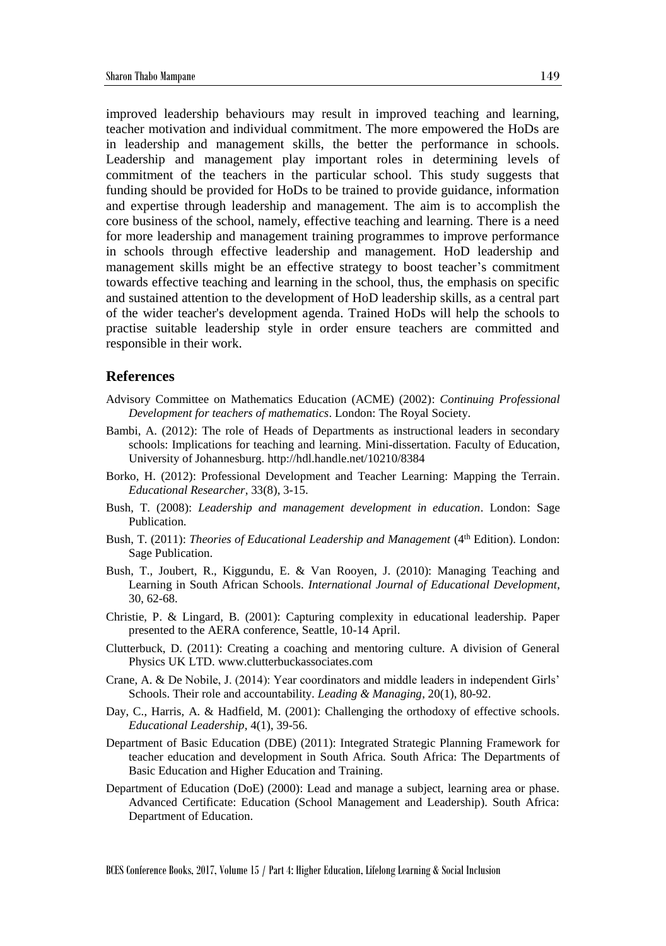improved leadership behaviours may result in improved teaching and learning, teacher motivation and individual commitment. The more empowered the HoDs are in leadership and management skills, the better the performance in schools. Leadership and management play important roles in determining levels of commitment of the teachers in the particular school. This study suggests that funding should be provided for HoDs to be trained to provide guidance, information and expertise through leadership and management. The aim is to accomplish the core business of the school, namely, effective teaching and learning. There is a need for more leadership and management training programmes to improve performance in schools through effective leadership and management. HoD leadership and management skills might be an effective strategy to boost teacher's commitment towards effective teaching and learning in the school, thus, the emphasis on specific and sustained attention to the development of HoD leadership skills, as a central part of the wider teacher's development agenda. Trained HoDs will help the schools to practise suitable leadership style in order ensure teachers are committed and responsible in their work.

#### **References**

- Advisory Committee on Mathematics Education (ACME) (2002): *Continuing Professional Development for teachers of mathematics*. London: The Royal Society.
- Bambi, A. (2012): The role of Heads of Departments as instructional leaders in secondary schools: Implications for teaching and learning. Mini-dissertation. Faculty of Education, University of Johannesburg. http://hdl.handle.net/10210/8384
- Borko, H. (2012): Professional Development and Teacher Learning: Mapping the Terrain. *Educational Researcher*, 33(8), 3-15.
- Bush, T. (2008): *Leadership and management development in education*. London: Sage Publication.
- Bush, T. (2011): *Theories of Educational Leadership and Management* (4<sup>th</sup> Edition). London: Sage Publication.
- Bush, T., Joubert, R., Kiggundu, E. & Van Rooyen, J. (2010): Managing Teaching and Learning in South African Schools. *International Journal of Educational Development*, 30, 62-68.
- Christie, P. & Lingard, B. (2001): Capturing complexity in educational leadership. Paper presented to the AERA conference, Seattle, 10-14 April.
- Clutterbuck, D. (2011): Creating a coaching and mentoring culture. A division of General Physics UK LTD. www.clutterbuckassociates.com
- Crane, A. & De Nobile, J. (2014): Year coordinators and middle leaders in independent Girls' Schools. Their role and accountability. *Leading & Managing*, 20(1), 80-92.
- Day, C., Harris, A. & Hadfield, M. (2001): Challenging the orthodoxy of effective schools. *Educational Leadership*, 4(1), 39-56.
- Department of Basic Education (DBE) (2011): Integrated Strategic Planning Framework for teacher education and development in South Africa. South Africa: The Departments of Basic Education and Higher Education and Training.
- Department of Education (DoE) (2000): Lead and manage a subject, learning area or phase. Advanced Certificate: Education (School Management and Leadership). South Africa: Department of Education.

BCES Conference Books, 2017, Volume 15 / Part 4: Higher Education, Lifelong Learning & Social Inclusion